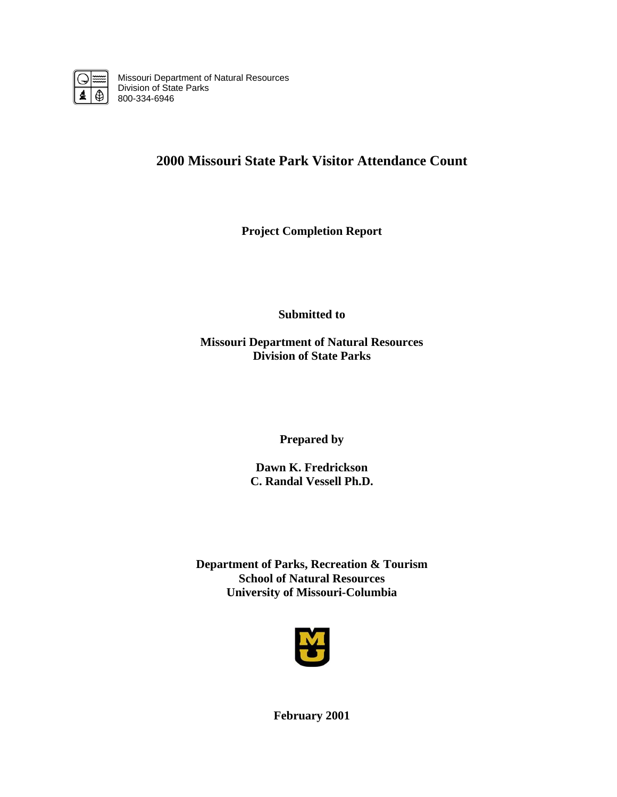

Missouri Department of Natural Resources Division of State Parks 800-334-6946

# **2000 Missouri State Park Visitor Attendance Count**

**Project Completion Report** 

**Submitted to** 

**Missouri Department of Natural Resources Division of State Parks** 

**Prepared by** 

**Dawn K. Fredrickson C. Randal Vessell Ph.D.** 

**Department of Parks, Recreation & Tourism School of Natural Resources University of Missouri-Columbia** 



**February 2001**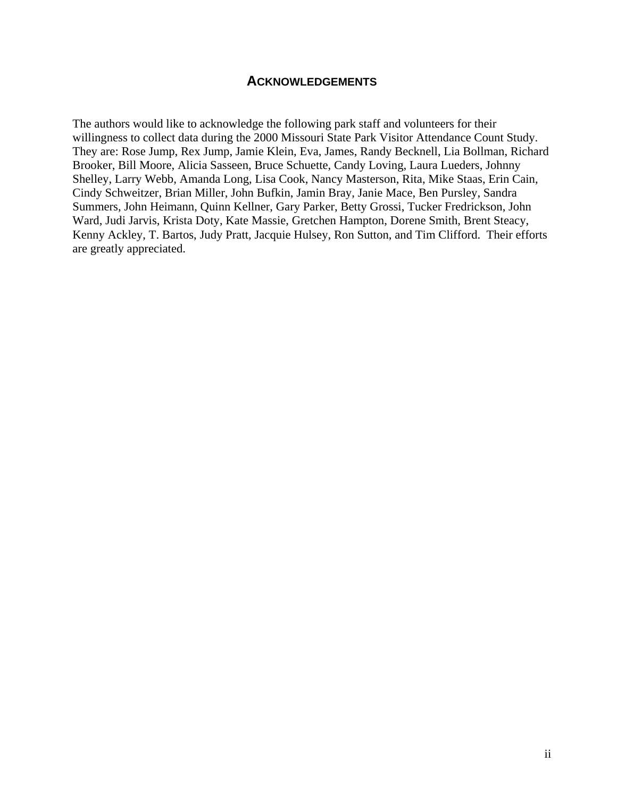## **ACKNOWLEDGEMENTS**

The authors would like to acknowledge the following park staff and volunteers for their willingness to collect data during the 2000 Missouri State Park Visitor Attendance Count Study. They are: Rose Jump, Rex Jump, Jamie Klein, Eva, James, Randy Becknell, Lia Bollman, Richard Brooker, Bill Moore, Alicia Sasseen, Bruce Schuette, Candy Loving, Laura Lueders, Johnny Shelley, Larry Webb, Amanda Long, Lisa Cook, Nancy Masterson, Rita, Mike Staas, Erin Cain, Cindy Schweitzer, Brian Miller, John Bufkin, Jamin Bray, Janie Mace, Ben Pursley, Sandra Summers, John Heimann, Quinn Kellner, Gary Parker, Betty Grossi, Tucker Fredrickson, John Ward, Judi Jarvis, Krista Doty, Kate Massie, Gretchen Hampton, Dorene Smith, Brent Steacy, Kenny Ackley, T. Bartos, Judy Pratt, Jacquie Hulsey, Ron Sutton, and Tim Clifford. Their efforts are greatly appreciated.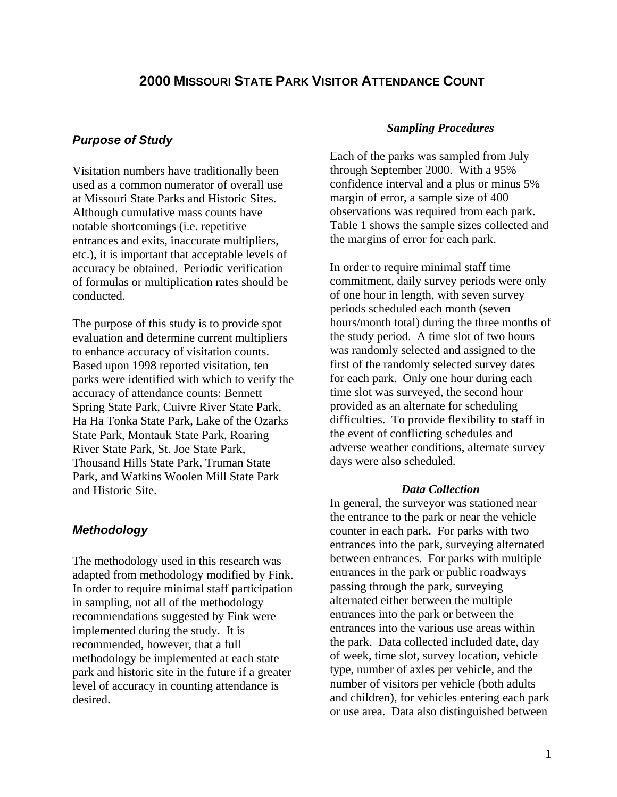# **2000 MISSOURI STATE PARK VISITOR ATTENDANCE COUNT**

### *Purpose of Study*

Visitation numbers have traditionally been used as a common numerator of overall use at Missouri State Parks and Historic Sites. Although cumulative mass counts have notable shortcomings (i.e. repetitive entrances and exits, inaccurate multipliers, etc.), it is important that acceptable levels of accuracy be obtained. Periodic verification of formulas or multiplication rates should be conducted.

The purpose of this study is to provide spot evaluation and determine current multipliers to enhance accuracy of visitation counts. Based upon 1998 reported visitation, ten parks were identified with which to verify the accuracy of attendance counts: Bennett Spring State Park, Cuivre River State Park, Ha Ha Tonka State Park, Lake of the Ozarks State Park, Montauk State Park, Roaring River State Park, St. Joe State Park, Thousand Hills State Park, Truman State Park, and Watkins Woolen Mill State Park and Historic Site.

### *Methodology*

The methodology used in this research was adapted from methodology modified by Fink. In order to require minimal staff participation in sampling, not all of the methodology recommendations suggested by Fink were implemented during the study. It is recommended, however, that a full methodology be implemented at each state park and historic site in the future if a greater level of accuracy in counting attendance is desired.

#### *Sampling Procedures*

Each of the parks was sampled from July through September 2000. With a 95% confidence interval and a plus or minus 5% margin of error, a sample size of 400 observations was required from each park. Table 1 shows the sample sizes collected and the margins of error for each park.

In order to require minimal staff time commitment, daily survey periods were only of one hour in length, with seven survey periods scheduled each month (seven hours/month total) during the three months of the study period. A time slot of two hours was randomly selected and assigned to the first of the randomly selected survey dates for each park. Only one hour during each time slot was surveyed, the second hour provided as an alternate for scheduling difficulties. To provide flexibility to staff in the event of conflicting schedules and adverse weather conditions, alternate survey days were also scheduled.

#### *Data Collection*

In general, the surveyor was stationed near the entrance to the park or near the vehicle counter in each park. For parks with two entrances into the park, surveying alternated between entrances. For parks with multiple entrances in the park or public roadways passing through the park, surveying alternated either between the multiple entrances into the park or between the entrances into the various use areas within the park. Data collected included date, day of week, time slot, survey location, vehicle type, number of axles per vehicle, and the number of visitors per vehicle (both adults and children), for vehicles entering each park or use area. Data also distinguished between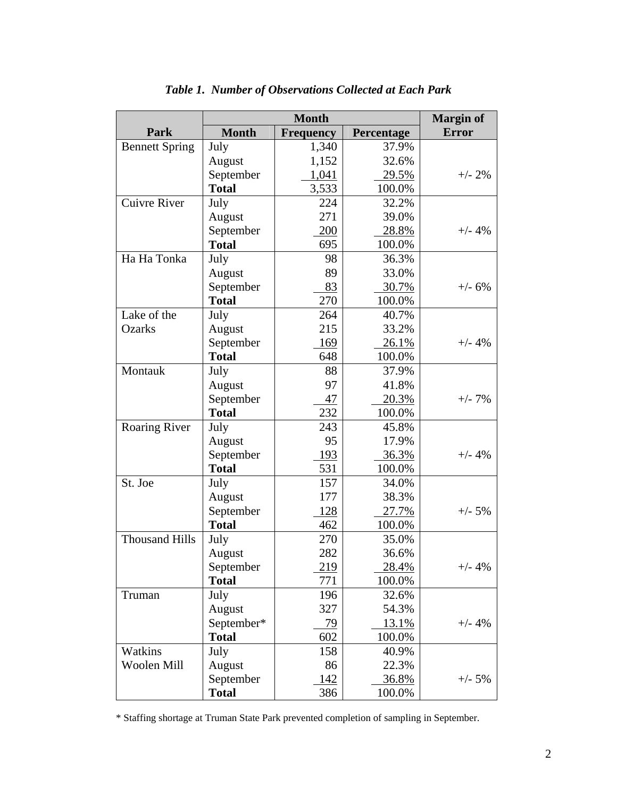|                       |              | <b>Margin of</b> |            |              |
|-----------------------|--------------|------------------|------------|--------------|
| Park                  | <b>Month</b> | <b>Frequency</b> | Percentage | <b>Error</b> |
| <b>Bennett Spring</b> | July         | 1,340            | 37.9%      |              |
|                       | August       | 1,152            | 32.6%      |              |
|                       | September    | 1,041            | 29.5%      | $+/- 2\%$    |
|                       | <b>Total</b> | 3,533            | 100.0%     |              |
| <b>Cuivre River</b>   | July         | 224              | 32.2%      |              |
|                       | August       | 271              | 39.0%      |              |
|                       | September    | 200              | 28.8%      | $+/- 4%$     |
|                       | <b>Total</b> | 695              | 100.0%     |              |
| Ha Ha Tonka           | July         | 98               | 36.3%      |              |
|                       | August       | 89               | 33.0%      |              |
|                       | September    | 83               | 30.7%      | $+/- 6%$     |
|                       | <b>Total</b> | 270              | 100.0%     |              |
| Lake of the           | July         | 264              | 40.7%      |              |
| <b>Ozarks</b>         | August       | 215              | 33.2%      |              |
|                       | September    | 169              | 26.1%      | $+/- 4%$     |
|                       | <b>Total</b> | 648              | 100.0%     |              |
| Montauk               | July         | 88               | 37.9%      |              |
|                       | August       | 97               | 41.8%      |              |
|                       | September    | 47               | 20.3%      | $+/- 7%$     |
|                       | <b>Total</b> | 232              | 100.0%     |              |
| Roaring River         | July         | 243              | 45.8%      |              |
|                       | August       | 95               | 17.9%      |              |
|                       | September    | 193              | 36.3%      | $+/- 4%$     |
|                       | <b>Total</b> | 531              | 100.0%     |              |
| St. Joe               | July         | 157              | 34.0%      |              |
|                       | August       | 177              | 38.3%      |              |
|                       | September    | <u>128</u>       | 27.7%      | $+/- 5%$     |
|                       | <b>Total</b> | 462              | 100.0%     |              |
| <b>Thousand Hills</b> | July         | 270              | 35.0%      |              |
|                       | August       | 282              | 36.6%      |              |
|                       | September    | 219              | 28.4%      | $+/- 4%$     |
|                       | <b>Total</b> | 771              | 100.0%     |              |
| Truman                | July         | 196              | 32.6%      |              |
|                       | August       | 327              | 54.3%      |              |
|                       | September*   | 79               | 13.1%      | $+/- 4%$     |
|                       | <b>Total</b> | 602              | 100.0%     |              |
| Watkins               | July         | 158              | 40.9%      |              |
| Woolen Mill           | August       | 86               | 22.3%      |              |
|                       | September    | 142              | 36.8%      | $+/- 5%$     |
|                       | <b>Total</b> | 386              | 100.0%     |              |

# *Table 1. Number of Observations Collected at Each Park*

\* Staffing shortage at Truman State Park prevented completion of sampling in September.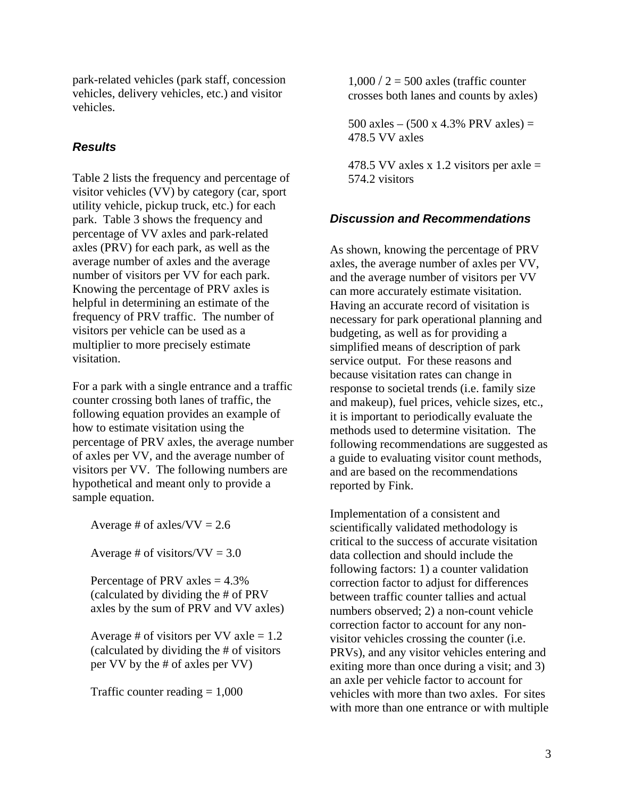park-related vehicles (park staff, concession vehicles, delivery vehicles, etc.) and visitor vehicles.

# *Results*

Table 2 lists the frequency and percentage of visitor vehicles (VV) by category (car, sport utility vehicle, pickup truck, etc.) for each park. Table 3 shows the frequency and percentage of VV axles and park-related axles (PRV) for each park, as well as the average number of axles and the average number of visitors per VV for each park. Knowing the percentage of PRV axles is helpful in determining an estimate of the frequency of PRV traffic. The number of visitors per vehicle can be used as a multiplier to more precisely estimate visitation.

For a park with a single entrance and a traffic counter crossing both lanes of traffic, the following equation provides an example of how to estimate visitation using the percentage of PRV axles, the average number of axles per VV, and the average number of visitors per VV. The following numbers are hypothetical and meant only to provide a sample equation.

Average # of axles/ $VV = 2.6$ 

Average # of visitors/ $VV = 3.0$ 

Percentage of PRV axles  $= 4.3\%$ (calculated by dividing the # of PRV axles by the sum of PRV and VV axles)

Average # of visitors per VV axle  $= 1.2$ (calculated by dividing the # of visitors per VV by the # of axles per VV)

Traffic counter reading  $= 1,000$ 

 $1,000 / 2 = 500$  axles (traffic counter crosses both lanes and counts by axles)

500 axles –  $(500 \times 4.3\% \text{ PRV} \text{ axles}) =$ 478.5 VV axles

478.5 VV axles x 1.2 visitors per axle  $=$ 574.2 visitors

# *Discussion and Recommendations*

As shown, knowing the percentage of PRV axles, the average number of axles per VV, and the average number of visitors per VV can more accurately estimate visitation. Having an accurate record of visitation is necessary for park operational planning and budgeting, as well as for providing a simplified means of description of park service output. For these reasons and because visitation rates can change in response to societal trends (i.e. family size and makeup), fuel prices, vehicle sizes, etc., it is important to periodically evaluate the methods used to determine visitation. The following recommendations are suggested as a guide to evaluating visitor count methods, and are based on the recommendations reported by Fink.

Implementation of a consistent and scientifically validated methodology is critical to the success of accurate visitation data collection and should include the following factors: 1) a counter validation correction factor to adjust for differences between traffic counter tallies and actual numbers observed; 2) a non-count vehicle correction factor to account for any nonvisitor vehicles crossing the counter (i.e. PRVs), and any visitor vehicles entering and exiting more than once during a visit; and 3) an axle per vehicle factor to account for vehicles with more than two axles. For sites with more than one entrance or with multiple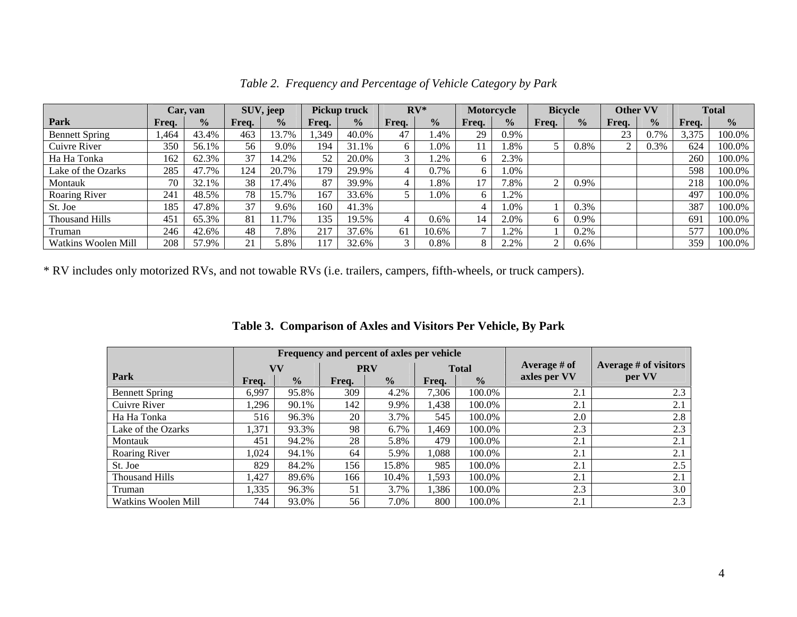|                       | Car.            | van           |       | SUV, jeep     |       | <b>Pickup truck</b> |       | $RV^*$        | Motorcycle   |               |       | <b>Bicycle</b> | <b>Other VV</b> |               |       | <b>Total</b>  |
|-----------------------|-----------------|---------------|-------|---------------|-------|---------------------|-------|---------------|--------------|---------------|-------|----------------|-----------------|---------------|-------|---------------|
| Park                  | Freq.           | $\frac{0}{0}$ | Freq. | $\frac{0}{0}$ | Freq. | $\frac{0}{2}$       | Freq. | $\frac{0}{0}$ | Freq.        | $\frac{0}{0}$ | Freq. | $\frac{1}{2}$  | Freq.           | $\frac{0}{0}$ | Freq. | $\frac{0}{0}$ |
| <b>Bennett Spring</b> | .464            | 43.4%         | 463   | 13.7%         | .349  | 40.0%               | 47    | 1.4%          | 29           | 0.9%          |       |                | 23              | 0.7%          | 3,375 | 100.0%        |
| Cuivre River          | 350             | 56.1%         | 56    | 9.0%          | 194   | 31.1%               | 6     | .0%           |              | 8%            |       | 0.8%           | $\sim$          | 0.3%          | 624   | 100.0%        |
| Ha Ha Tonka           | 162             | 62.3%         | 37    | 14.2%         | 52    | 20.0%               | 3     | .2%           | 6            | 2.3%          |       |                |                 |               | 260   | 100.0%        |
| Lake of the Ozarks    | 285             | 47.7%         | 124   | 20.7%         | 179   | 29.9%               |       | 0.7%          | 6            | . .0%         |       |                |                 |               | 598   | 100.0%        |
| Montauk               | 70              | 32.1%         | 38    | 17.4%         | 87    | 39.9%               |       | 8%            | 17           | $2.8\%$       |       | 0.9%           |                 |               | 218   | 100.0%        |
| Roaring River         | 241             | 48.5%         | 78    | 15.7%         | 167   | 33.6%               |       | .0%           | 6            | .2%           |       |                |                 |               | 497   | 100.0%        |
| St. Joe               | 185             | 47.8%         | 37    | 9.6%          | 160   | 41.3%               |       |               | 4            | $.0\%$        |       | 0.3%           |                 |               | 387   | 100.0%        |
| <b>Thousand Hills</b> | 45 <sup>1</sup> | 65.3%         | 81    | 11.7%         | 135   | 19.5%               |       | 0.6%          | 14           | 2.0%          |       | 0.9%           |                 |               | 691   | 100.0%        |
| Truman                | 246             | 42.6%         | 48    | 1.8%          | 217   | 37.6%               | 61    | 10.6%         | $\mathbf{r}$ | .2%           |       | 0.2%           |                 |               | 577   | 100.0%        |
| Watkins Woolen Mill   | 208             | 57.9%         | 21    | 5.8%          | 117   | 32.6%               | 3     | 0.8%          | 8            | 2.2%          |       | 0.6%           |                 |               | 359   | 100.0%        |

*Table 2. Frequency and Percentage of Vehicle Category by Park* 

\* RV includes only motorized RVs, and not towable RVs (i.e. trailers, campers, fifth-wheels, or truck campers).

|                       |       |               | Frequency and percent of axles per vehicle |               |              |               |                |                       |
|-----------------------|-------|---------------|--------------------------------------------|---------------|--------------|---------------|----------------|-----------------------|
|                       |       | VV            | <b>PRV</b>                                 |               | <b>Total</b> |               | Average $#$ of | Average # of visitors |
| Park                  | Freq. | $\frac{0}{0}$ | Freq.                                      | $\frac{0}{0}$ | Freq.        | $\frac{0}{0}$ | axles per VV   | per VV                |
| <b>Bennett Spring</b> | 6.997 | 95.8%         | 309                                        | 4.2%          | 7,306        | 100.0%        | 2.1            | 2.3                   |
| Cuivre River          | 1,296 | 90.1%         | 142                                        | 9.9%          | 1,438        | 100.0%        | 2.1            | 2.1                   |
| Ha Ha Tonka           | 516   | 96.3%         | 20                                         | 3.7%          | 545          | 100.0%        | 2.0            | 2.8                   |
| Lake of the Ozarks    | 1,371 | 93.3%         | 98                                         | 6.7%          | 1,469        | 100.0%        | 2.3            | 2.3                   |
| Montauk               | 451   | 94.2%         | 28                                         | 5.8%          | 479          | 100.0%        | 2.1            | 2.1                   |
| Roaring River         | 1,024 | 94.1%         | 64                                         | 5.9%          | 1,088        | 100.0%        | 2.1            | 2.1                   |
| St. Joe               | 829   | 84.2%         | 156                                        | 15.8%         | 985          | 100.0%        | 2.1            | 2.5                   |
| <b>Thousand Hills</b> | 1,427 | 89.6%         | 166                                        | 10.4%         | 1,593        | 100.0%        | 2.1            | 2.1                   |
| Truman                | 1,335 | 96.3%         | 51                                         | 3.7%          | 1,386        | 100.0%        | 2.3            | 3.0                   |
| Watkins Woolen Mill   | 744   | 93.0%         | 56                                         | 7.0%          | 800          | 100.0%        | 2.1            | 2.3                   |

|  |  |  |  | Table 3. Comparison of Axles and Visitors Per Vehicle, By Park |
|--|--|--|--|----------------------------------------------------------------|
|--|--|--|--|----------------------------------------------------------------|